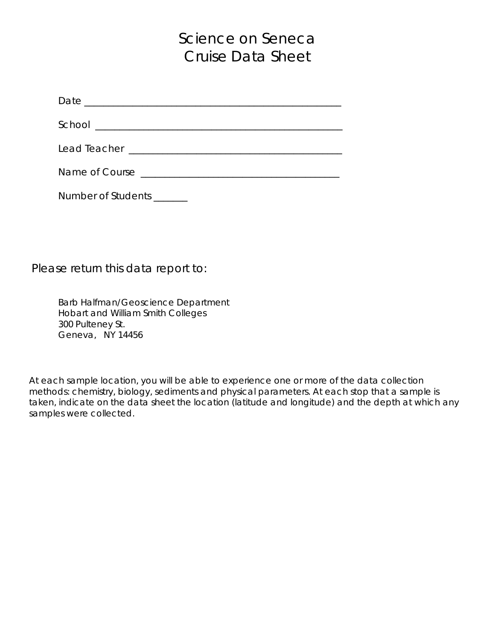# Science on Seneca Cruise Data Sheet

| Date         |  |
|--------------|--|
| School       |  |
|              |  |
| Lead Teacher |  |

Name of Course \_\_\_\_\_\_\_\_\_\_\_\_\_\_\_\_\_\_\_\_\_\_\_\_\_\_\_\_\_\_\_\_\_\_\_\_\_\_\_\_\_

Number of Students \_\_\_\_\_\_\_

Please return this data report to:

Barb Halfman/Geoscience Department Hobart and William Smith Colleges 300 Pulteney St. Geneva, NY 14456

At each sample location, you will be able to experience one or more of the data collection methods: chemistry, biology, sediments and physical parameters. At each stop that a sample is taken, indicate on the data sheet the location (latitude and longitude) and the depth at which any samples were collected.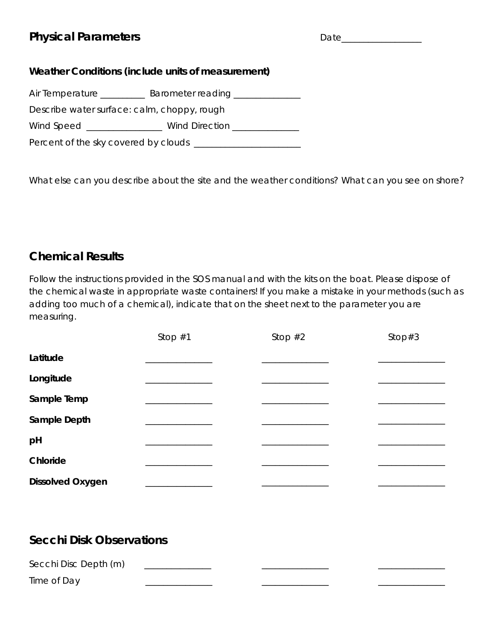### **Physical Parameters**

#### **Weather Conditions (include units of measurement)**

Air Temperature \_\_\_\_\_\_\_\_\_\_\_ Barometer reading \_\_\_\_\_\_\_\_\_\_\_\_\_

Describe water surface: calm, choppy, rough

Wind Speed \_\_\_\_\_\_\_\_\_\_\_\_\_\_ Wind Direction \_\_\_\_\_\_\_\_\_\_\_\_

Percent of the sky covered by clouds \_\_\_\_\_\_\_\_\_\_\_\_\_\_\_\_\_\_\_\_\_\_\_\_

What else can you describe about the site and the weather conditions? What can you see on shore?

### **Chemical Results**

Follow the instructions provided in the SOS manual and with the kits on the boat. Please dispose of the chemical waste in appropriate waste containers! If you make a mistake in your methods (such as adding too much of a chemical), indicate that on the sheet next to the parameter you are measuring.

|                         | Stop $#1$ | Stop $#2$ | Stop $#3$ |
|-------------------------|-----------|-----------|-----------|
| Latitude                |           |           |           |
| Longitude               |           |           |           |
| Sample Temp             |           |           |           |
| Sample Depth            |           |           |           |
| pH                      |           |           |           |
| Chloride                |           |           |           |
| <b>Dissolved Oxygen</b> |           |           |           |

### **Secchi Disk Observations**

| Secchi Disc Depth (m) |  |  |
|-----------------------|--|--|
| Time of Day           |  |  |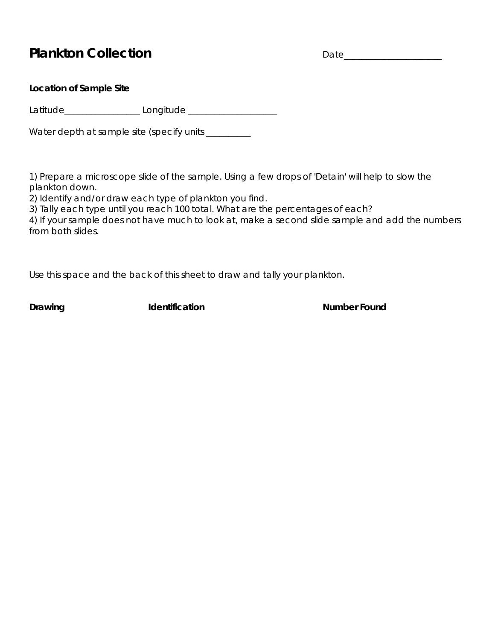### Plankton Collection **Date**

#### **Location of Sample Site**

Latitude\_\_\_\_\_\_\_\_\_\_\_\_\_\_\_\_\_ Longitude \_\_\_\_\_\_\_\_\_\_\_\_\_\_\_\_\_\_\_\_

Water depth at sample site (specify units \_\_\_\_\_\_\_\_

1) Prepare a microscope slide of the sample. Using a few drops of 'Detain' will help to slow the plankton down.

2) Identify and/or draw each type of plankton you find.

3) Tally each type until you reach 100 total. What are the percentages of each?

4) If your sample does not have much to look at, make a second slide sample and add the numbers from both slides.

Use this space and the back of this sheet to draw and tally your plankton.

**Drawing Identification IDENET <b>Number Found**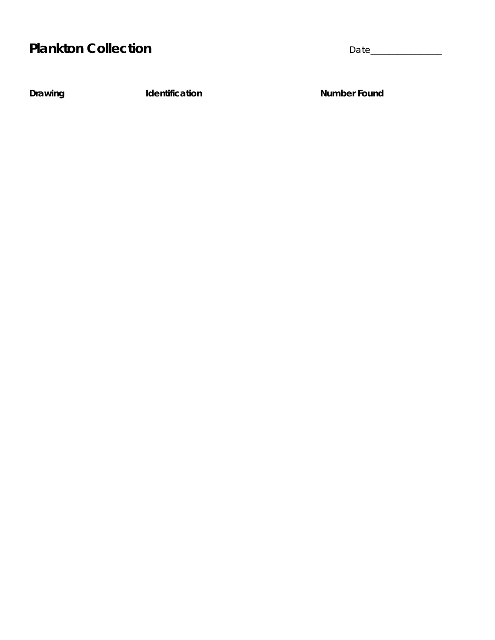# Plankton Collection **Date**

**Drawing Communist Communist Example 2 Identification** Communist Communist Providence Communist Providence Communist Providence Communist Providence Communist Providence Communist Providence Communist Providence Communist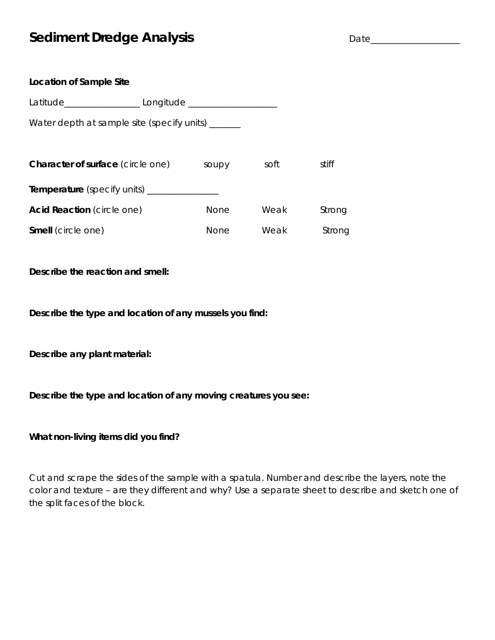### **Sediment Dredge Analysis** Date\_\_\_\_\_\_\_\_\_\_\_\_\_\_\_\_\_\_\_\_

| Location of Sample Site                            |                                                                      |             |      |        |
|----------------------------------------------------|----------------------------------------------------------------------|-------------|------|--------|
|                                                    | Latitude________________________ Longitude _________________________ |             |      |        |
| Water depth at sample site (specify units) ______  |                                                                      |             |      |        |
|                                                    |                                                                      |             |      |        |
| <b>Character of surface</b> (circle one)           |                                                                      | soupy       | soft | stiff  |
| <b>Temperature</b> (specify units) _______________ |                                                                      |             |      |        |
| Acid Reaction (circle one)                         |                                                                      | <b>None</b> | Weak | Strong |
| <b>Smell</b> (circle one)                          |                                                                      | None        | Weak | Strong |

**Describe the reaction and smell:**

**Describe the type and location of any mussels you find:**

**Describe any plant material:**

**Describe the type and location of any moving creatures you see:**

**What non-living items did you find?**

Cut and scrape the sides of the sample with a spatula. Number and describe the layers, note the color and texture – are they different and why? Use a separate sheet to describe and sketch one of the split faces of the block.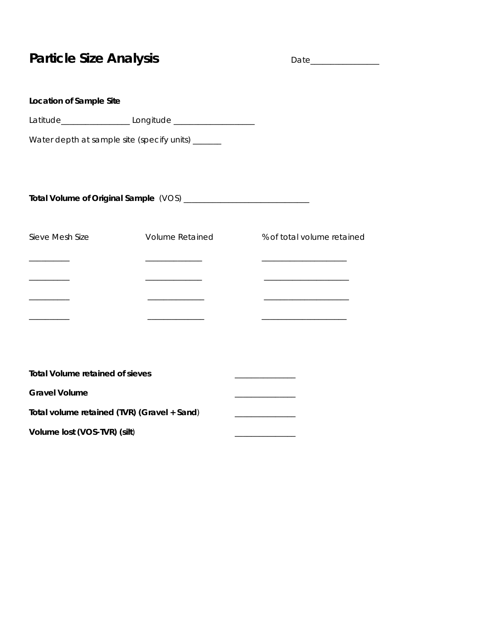# **Particle Size Analysis** Date\_\_\_\_\_\_\_\_\_\_\_\_\_\_\_\_\_

| Location of Sample Site                                                                                                                                                                                                                                                                                                                                                                                                                                 |                                         |                                                   |
|---------------------------------------------------------------------------------------------------------------------------------------------------------------------------------------------------------------------------------------------------------------------------------------------------------------------------------------------------------------------------------------------------------------------------------------------------------|-----------------------------------------|---------------------------------------------------|
|                                                                                                                                                                                                                                                                                                                                                                                                                                                         |                                         |                                                   |
| Water depth at sample site (specify units) ______                                                                                                                                                                                                                                                                                                                                                                                                       |                                         |                                                   |
|                                                                                                                                                                                                                                                                                                                                                                                                                                                         |                                         |                                                   |
| Sieve Mesh Size                                                                                                                                                                                                                                                                                                                                                                                                                                         | <b>Volume Retained</b>                  | % of total volume retained                        |
| $\begin{tabular}{ccccccccc} \multicolumn{2}{c }{\textbf{1} & \multicolumn{2}{c }{\textbf{2} & \multicolumn{2}{c }{\textbf{3} & \multicolumn{2}{c }{\textbf{4} & \multicolumn{2}{c }{\textbf{5} & \multicolumn{2}{c }{\textbf{6} & \multicolumn{2}{c }{\textbf{6} & \multicolumn{2}{c }{\textbf{6} & \multicolumn{2}{c }{\textbf{6} & \multicolumn{2}{c }{\textbf{6} & \multicolumn{2}{c }{\textbf{6} & \multicolumn{2}{c }{\textbf{6} & \multicolumn{2$ |                                         |                                                   |
| ___________                                                                                                                                                                                                                                                                                                                                                                                                                                             | <u> 1989 - Johann Barn, mars eta ba</u> |                                                   |
|                                                                                                                                                                                                                                                                                                                                                                                                                                                         |                                         |                                                   |
|                                                                                                                                                                                                                                                                                                                                                                                                                                                         |                                         |                                                   |
| <b>Total Volume retained of sieves</b>                                                                                                                                                                                                                                                                                                                                                                                                                  |                                         |                                                   |
| <b>Gravel Volume</b>                                                                                                                                                                                                                                                                                                                                                                                                                                    |                                         | <u> 1989 - Johann Barnett, fransk politiker (</u> |
| Total volume retained (TVR) (Gravel + Sand)                                                                                                                                                                                                                                                                                                                                                                                                             |                                         |                                                   |
| Volume lost (VOS-TVR) (silt)                                                                                                                                                                                                                                                                                                                                                                                                                            |                                         |                                                   |